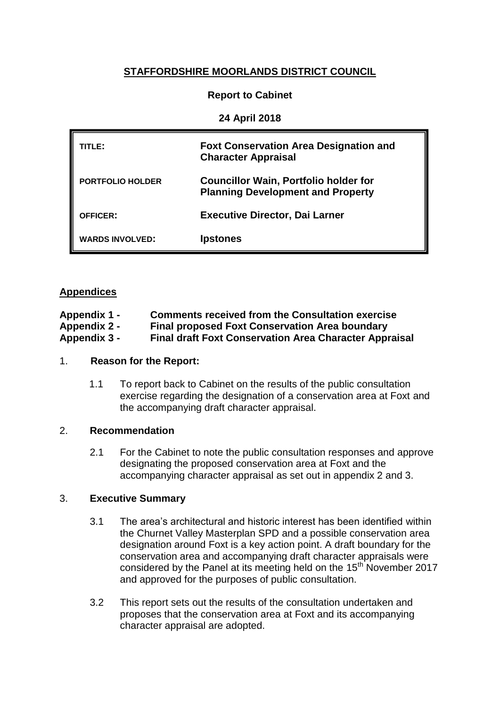# **STAFFORDSHIRE MOORLANDS DISTRICT COUNCIL**

# **Report to Cabinet**

### **24 April 2018**

| TITLE:                  | <b>Foxt Conservation Area Designation and</b><br><b>Character Appraisal</b>              |
|-------------------------|------------------------------------------------------------------------------------------|
| <b>PORTFOLIO HOLDER</b> | <b>Councillor Wain, Portfolio holder for</b><br><b>Planning Development and Property</b> |
| <b>OFFICER:</b>         | <b>Executive Director, Dai Larner</b>                                                    |
| <b>WARDS INVOLVED:</b>  | <b>Ipstones</b>                                                                          |

## **Appendices**

| Appendix 1 -        | <b>Comments received from the Consultation exercise</b>       |
|---------------------|---------------------------------------------------------------|
| <b>Appendix 2 -</b> | <b>Final proposed Foxt Conservation Area boundary</b>         |
| Appendix 3 -        | <b>Final draft Foxt Conservation Area Character Appraisal</b> |

#### 1. **Reason for the Report:**

1.1 To report back to Cabinet on the results of the public consultation exercise regarding the designation of a conservation area at Foxt and the accompanying draft character appraisal.

## 2. **Recommendation**

2.1 For the Cabinet to note the public consultation responses and approve designating the proposed conservation area at Foxt and the accompanying character appraisal as set out in appendix 2 and 3.

## 3. **Executive Summary**

- 3.1 The area's architectural and historic interest has been identified within the Churnet Valley Masterplan SPD and a possible conservation area designation around Foxt is a key action point. A draft boundary for the conservation area and accompanying draft character appraisals were considered by the Panel at its meeting held on the 15<sup>th</sup> November 2017 and approved for the purposes of public consultation.
- 3.2 This report sets out the results of the consultation undertaken and proposes that the conservation area at Foxt and its accompanying character appraisal are adopted.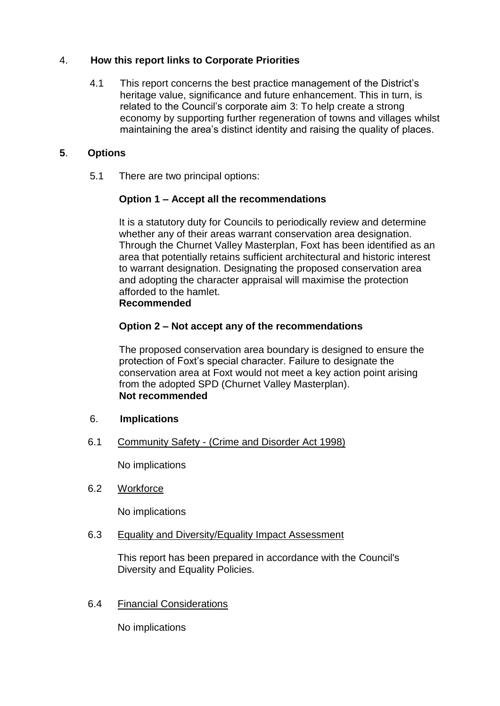# 4. **How this report links to Corporate Priorities**

4.1 This report concerns the best practice management of the District's heritage value, significance and future enhancement. This in turn, is related to the Council's corporate aim 3: To help create a strong economy by supporting further regeneration of towns and villages whilst maintaining the area's distinct identity and raising the quality of places.

# **5**. **Options**

5.1 There are two principal options:

# **Option 1 – Accept all the recommendations**

It is a statutory duty for Councils to periodically review and determine whether any of their areas warrant conservation area designation. Through the Churnet Valley Masterplan, Foxt has been identified as an area that potentially retains sufficient architectural and historic interest to warrant designation. Designating the proposed conservation area and adopting the character appraisal will maximise the protection afforded to the hamlet. **Recommended** 

# **Option 2 – Not accept any of the recommendations**

The proposed conservation area boundary is designed to ensure the protection of Foxt's special character. Failure to designate the conservation area at Foxt would not meet a key action point arising from the adopted SPD (Churnet Valley Masterplan). **Not recommended**

- 6. **Implications**
- 6.1 Community Safety (Crime and Disorder Act 1998)

No implications

6.2 Workforce

No implications

## 6.3 Equality and Diversity/Equality Impact Assessment

This report has been prepared in accordance with the Council's Diversity and Equality Policies.

6.4 Financial Considerations

No implications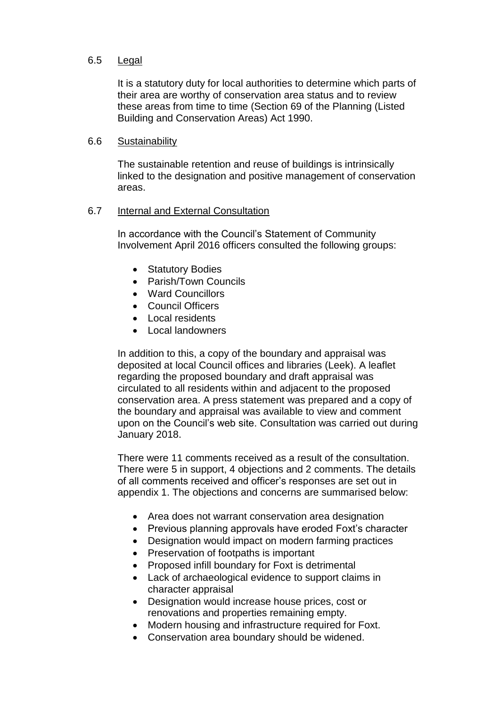### 6.5 Legal

It is a statutory duty for local authorities to determine which parts of their area are worthy of conservation area status and to review these areas from time to time (Section 69 of the Planning (Listed Building and Conservation Areas) Act 1990.

#### 6.6 Sustainability

The sustainable retention and reuse of buildings is intrinsically linked to the designation and positive management of conservation areas.

### 6.7 Internal and External Consultation

In accordance with the Council's Statement of Community Involvement April 2016 officers consulted the following groups:

- Statutory Bodies
- Parish/Town Councils
- Ward Councillors
- Council Officers
- Local residents
- Local landowners

In addition to this, a copy of the boundary and appraisal was deposited at local Council offices and libraries (Leek). A leaflet regarding the proposed boundary and draft appraisal was circulated to all residents within and adjacent to the proposed conservation area. A press statement was prepared and a copy of the boundary and appraisal was available to view and comment upon on the Council's web site. Consultation was carried out during January 2018.

There were 11 comments received as a result of the consultation. There were 5 in support, 4 objections and 2 comments. The details of all comments received and officer's responses are set out in appendix 1. The objections and concerns are summarised below:

- Area does not warrant conservation area designation
- Previous planning approvals have eroded Foxt's character
- Designation would impact on modern farming practices
- Preservation of footpaths is important
- Proposed infill boundary for Foxt is detrimental
- Lack of archaeological evidence to support claims in character appraisal
- Designation would increase house prices, cost or renovations and properties remaining empty.
- Modern housing and infrastructure required for Foxt.
- Conservation area boundary should be widened.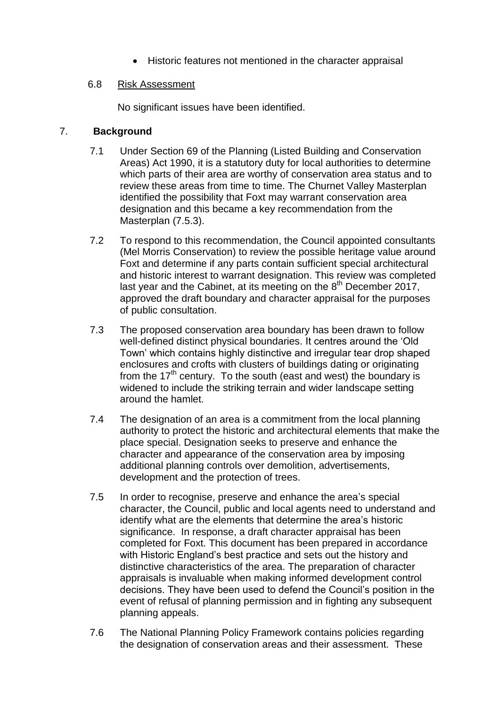Historic features not mentioned in the character appraisal

# 6.8 Risk Assessment

No significant issues have been identified.

# 7. **Background**

- 7.1 Under Section 69 of the Planning (Listed Building and Conservation Areas) Act 1990, it is a statutory duty for local authorities to determine which parts of their area are worthy of conservation area status and to review these areas from time to time. The Churnet Valley Masterplan identified the possibility that Foxt may warrant conservation area designation and this became a key recommendation from the Masterplan (7.5.3).
- 7.2 To respond to this recommendation, the Council appointed consultants (Mel Morris Conservation) to review the possible heritage value around Foxt and determine if any parts contain sufficient special architectural and historic interest to warrant designation. This review was completed last year and the Cabinet, at its meeting on the  $8<sup>th</sup>$  December 2017, approved the draft boundary and character appraisal for the purposes of public consultation.
- 7.3 The proposed conservation area boundary has been drawn to follow well-defined distinct physical boundaries. It centres around the 'Old Town' which contains highly distinctive and irregular tear drop shaped enclosures and crofts with clusters of buildings dating or originating from the 17<sup>th</sup> century. To the south (east and west) the boundary is widened to include the striking terrain and wider landscape setting around the hamlet.
- 7.4 The designation of an area is a commitment from the local planning authority to protect the historic and architectural elements that make the place special. Designation seeks to preserve and enhance the character and appearance of the conservation area by imposing additional planning controls over demolition, advertisements, development and the protection of trees.
- 7.5 In order to recognise, preserve and enhance the area's special character, the Council, public and local agents need to understand and identify what are the elements that determine the area's historic significance. In response, a draft character appraisal has been completed for Foxt. This document has been prepared in accordance with Historic England's best practice and sets out the history and distinctive characteristics of the area. The preparation of character appraisals is invaluable when making informed development control decisions. They have been used to defend the Council's position in the event of refusal of planning permission and in fighting any subsequent planning appeals.
- 7.6 The National Planning Policy Framework contains policies regarding the designation of conservation areas and their assessment. These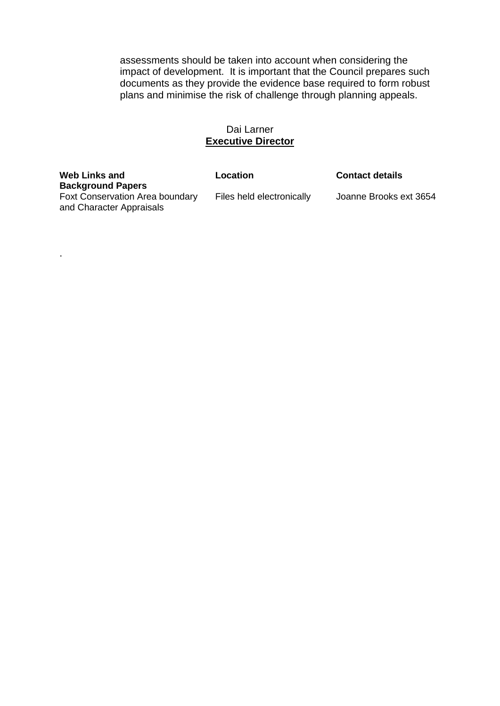assessments should be taken into account when considering the impact of development. It is important that the Council prepares such documents as they provide the evidence base required to form robust plans and minimise the risk of challenge through planning appeals.

### Dai Larner **Executive Director**

**Web Links and Background Papers** Foxt Conservation Area boundary and Character Appraisals

.

**Location Contact details**

Files held electronically Joanne Brooks ext 3654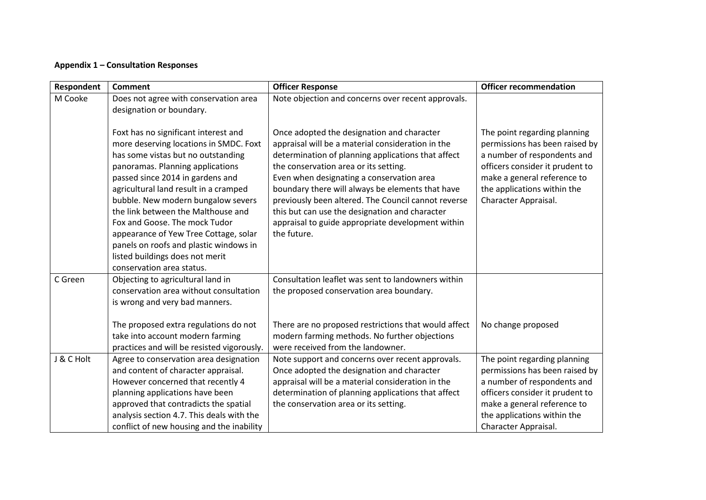### **Appendix 1 – Consultation Responses**

| Respondent | <b>Comment</b>                                                                                                                                                                                                                                                                                                                                                                                                                                                                                        | <b>Officer Response</b>                                                                                                                                                                                                                                                                                                                                                                                                                                                      | <b>Officer recommendation</b>                                                                                                                                                                                          |
|------------|-------------------------------------------------------------------------------------------------------------------------------------------------------------------------------------------------------------------------------------------------------------------------------------------------------------------------------------------------------------------------------------------------------------------------------------------------------------------------------------------------------|------------------------------------------------------------------------------------------------------------------------------------------------------------------------------------------------------------------------------------------------------------------------------------------------------------------------------------------------------------------------------------------------------------------------------------------------------------------------------|------------------------------------------------------------------------------------------------------------------------------------------------------------------------------------------------------------------------|
| M Cooke    | Does not agree with conservation area<br>designation or boundary.                                                                                                                                                                                                                                                                                                                                                                                                                                     | Note objection and concerns over recent approvals.                                                                                                                                                                                                                                                                                                                                                                                                                           |                                                                                                                                                                                                                        |
|            | Foxt has no significant interest and<br>more deserving locations in SMDC. Foxt<br>has some vistas but no outstanding<br>panoramas. Planning applications<br>passed since 2014 in gardens and<br>agricultural land result in a cramped<br>bubble. New modern bungalow severs<br>the link between the Malthouse and<br>Fox and Goose. The mock Tudor<br>appearance of Yew Tree Cottage, solar<br>panels on roofs and plastic windows in<br>listed buildings does not merit<br>conservation area status. | Once adopted the designation and character<br>appraisal will be a material consideration in the<br>determination of planning applications that affect<br>the conservation area or its setting.<br>Even when designating a conservation area<br>boundary there will always be elements that have<br>previously been altered. The Council cannot reverse<br>this but can use the designation and character<br>appraisal to guide appropriate development within<br>the future. | The point regarding planning<br>permissions has been raised by<br>a number of respondents and<br>officers consider it prudent to<br>make a general reference to<br>the applications within the<br>Character Appraisal. |
| C Green    | Objecting to agricultural land in<br>conservation area without consultation<br>is wrong and very bad manners.                                                                                                                                                                                                                                                                                                                                                                                         | Consultation leaflet was sent to landowners within<br>the proposed conservation area boundary.                                                                                                                                                                                                                                                                                                                                                                               |                                                                                                                                                                                                                        |
|            | The proposed extra regulations do not<br>take into account modern farming<br>practices and will be resisted vigorously.                                                                                                                                                                                                                                                                                                                                                                               | There are no proposed restrictions that would affect<br>modern farming methods. No further objections<br>were received from the landowner.                                                                                                                                                                                                                                                                                                                                   | No change proposed                                                                                                                                                                                                     |
| J & C Holt | Agree to conservation area designation<br>and content of character appraisal.<br>However concerned that recently 4<br>planning applications have been<br>approved that contradicts the spatial<br>analysis section 4.7. This deals with the<br>conflict of new housing and the inability                                                                                                                                                                                                              | Note support and concerns over recent approvals.<br>Once adopted the designation and character<br>appraisal will be a material consideration in the<br>determination of planning applications that affect<br>the conservation area or its setting.                                                                                                                                                                                                                           | The point regarding planning<br>permissions has been raised by<br>a number of respondents and<br>officers consider it prudent to<br>make a general reference to<br>the applications within the<br>Character Appraisal. |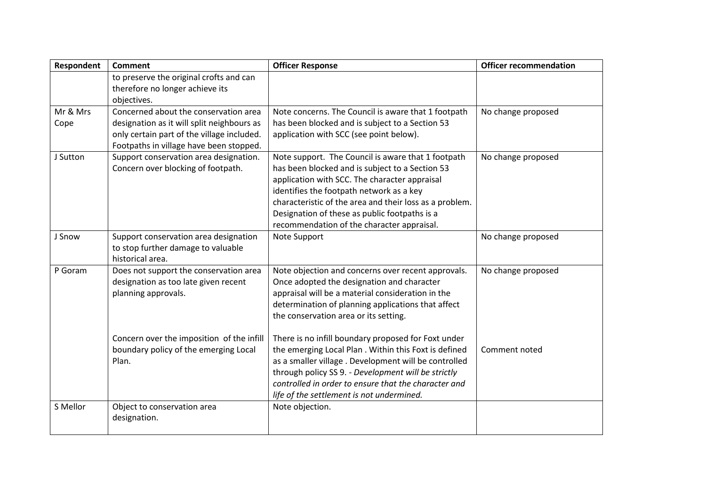| Respondent | <b>Comment</b>                             | <b>Officer Response</b>                                 | <b>Officer recommendation</b> |
|------------|--------------------------------------------|---------------------------------------------------------|-------------------------------|
|            | to preserve the original crofts and can    |                                                         |                               |
|            | therefore no longer achieve its            |                                                         |                               |
|            | objectives.                                |                                                         |                               |
| Mr & Mrs   | Concerned about the conservation area      | Note concerns. The Council is aware that 1 footpath     | No change proposed            |
| Cope       | designation as it will split neighbours as | has been blocked and is subject to a Section 53         |                               |
|            | only certain part of the village included. | application with SCC (see point below).                 |                               |
|            | Footpaths in village have been stopped.    |                                                         |                               |
| J Sutton   | Support conservation area designation.     | Note support. The Council is aware that 1 footpath      | No change proposed            |
|            | Concern over blocking of footpath.         | has been blocked and is subject to a Section 53         |                               |
|            |                                            | application with SCC. The character appraisal           |                               |
|            |                                            | identifies the footpath network as a key                |                               |
|            |                                            | characteristic of the area and their loss as a problem. |                               |
|            |                                            | Designation of these as public footpaths is a           |                               |
|            |                                            | recommendation of the character appraisal.              |                               |
| J Snow     | Support conservation area designation      | Note Support                                            | No change proposed            |
|            | to stop further damage to valuable         |                                                         |                               |
|            | historical area.                           |                                                         |                               |
| P Goram    | Does not support the conservation area     | Note objection and concerns over recent approvals.      | No change proposed            |
|            | designation as too late given recent       | Once adopted the designation and character              |                               |
|            | planning approvals.                        | appraisal will be a material consideration in the       |                               |
|            |                                            | determination of planning applications that affect      |                               |
|            |                                            | the conservation area or its setting.                   |                               |
|            |                                            |                                                         |                               |
|            | Concern over the imposition of the infill  | There is no infill boundary proposed for Foxt under     |                               |
|            | boundary policy of the emerging Local      | the emerging Local Plan. Within this Foxt is defined    | Comment noted                 |
|            | Plan.                                      | as a smaller village . Development will be controlled   |                               |
|            |                                            | through policy SS 9. - Development will be strictly     |                               |
|            |                                            | controlled in order to ensure that the character and    |                               |
|            |                                            | life of the settlement is not undermined.               |                               |
| S Mellor   | Object to conservation area                | Note objection.                                         |                               |
|            | designation.                               |                                                         |                               |
|            |                                            |                                                         |                               |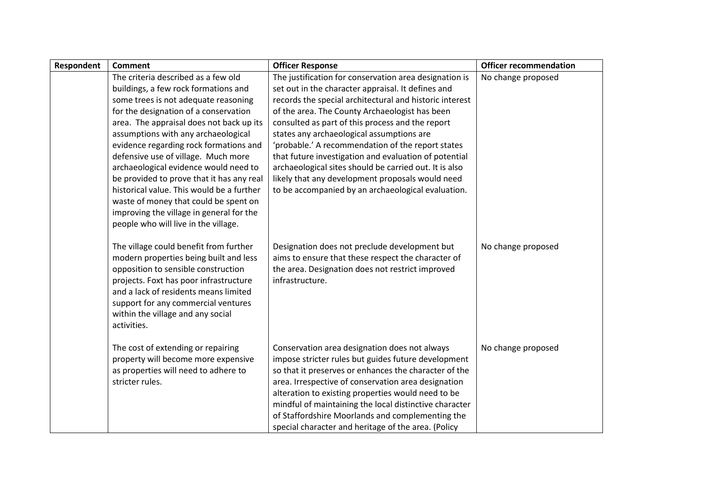| Respondent | <b>Comment</b>                                                                                                                                                                                                                                                                                                                                                                                                                                                                                                                                                                                   | <b>Officer Response</b>                                                                                                                                                                                                                                                                                                                                                                                                                                                                                                                                                                                      | <b>Officer recommendation</b> |
|------------|--------------------------------------------------------------------------------------------------------------------------------------------------------------------------------------------------------------------------------------------------------------------------------------------------------------------------------------------------------------------------------------------------------------------------------------------------------------------------------------------------------------------------------------------------------------------------------------------------|--------------------------------------------------------------------------------------------------------------------------------------------------------------------------------------------------------------------------------------------------------------------------------------------------------------------------------------------------------------------------------------------------------------------------------------------------------------------------------------------------------------------------------------------------------------------------------------------------------------|-------------------------------|
|            | The criteria described as a few old<br>buildings, a few rock formations and<br>some trees is not adequate reasoning<br>for the designation of a conservation<br>area. The appraisal does not back up its<br>assumptions with any archaeological<br>evidence regarding rock formations and<br>defensive use of village. Much more<br>archaeological evidence would need to<br>be provided to prove that it has any real<br>historical value. This would be a further<br>waste of money that could be spent on<br>improving the village in general for the<br>people who will live in the village. | The justification for conservation area designation is<br>set out in the character appraisal. It defines and<br>records the special architectural and historic interest<br>of the area. The County Archaeologist has been<br>consulted as part of this process and the report<br>states any archaeological assumptions are<br>'probable.' A recommendation of the report states<br>that future investigation and evaluation of potential<br>archaeological sites should be carried out. It is also<br>likely that any development proposals would need<br>to be accompanied by an archaeological evaluation. | No change proposed            |
|            | The village could benefit from further<br>modern properties being built and less<br>opposition to sensible construction<br>projects. Foxt has poor infrastructure<br>and a lack of residents means limited<br>support for any commercial ventures<br>within the village and any social<br>activities.                                                                                                                                                                                                                                                                                            | Designation does not preclude development but<br>aims to ensure that these respect the character of<br>the area. Designation does not restrict improved<br>infrastructure.                                                                                                                                                                                                                                                                                                                                                                                                                                   | No change proposed            |
|            | The cost of extending or repairing<br>property will become more expensive<br>as properties will need to adhere to<br>stricter rules.                                                                                                                                                                                                                                                                                                                                                                                                                                                             | Conservation area designation does not always<br>impose stricter rules but guides future development<br>so that it preserves or enhances the character of the<br>area. Irrespective of conservation area designation<br>alteration to existing properties would need to be<br>mindful of maintaining the local distinctive character<br>of Staffordshire Moorlands and complementing the<br>special character and heritage of the area. (Policy                                                                                                                                                              | No change proposed            |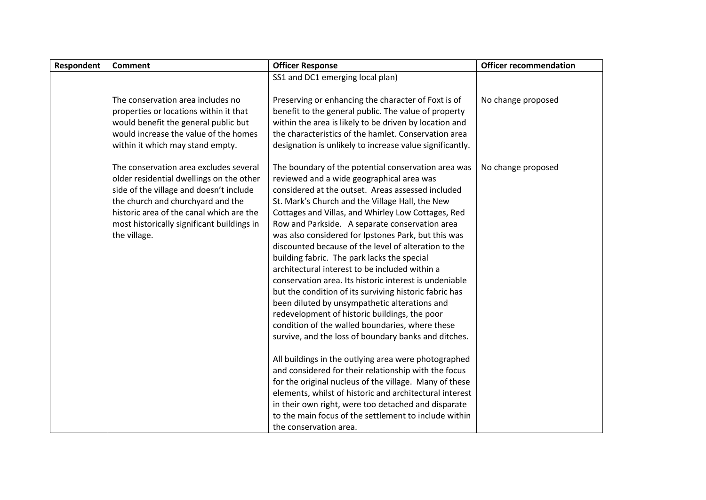| Respondent | <b>Comment</b>                             | <b>Officer Response</b>                                  | <b>Officer recommendation</b> |
|------------|--------------------------------------------|----------------------------------------------------------|-------------------------------|
|            |                                            | SS1 and DC1 emerging local plan)                         |                               |
|            |                                            |                                                          |                               |
|            | The conservation area includes no          | Preserving or enhancing the character of Foxt is of      | No change proposed            |
|            | properties or locations within it that     | benefit to the general public. The value of property     |                               |
|            | would benefit the general public but       | within the area is likely to be driven by location and   |                               |
|            | would increase the value of the homes      | the characteristics of the hamlet. Conservation area     |                               |
|            | within it which may stand empty.           | designation is unlikely to increase value significantly. |                               |
|            | The conservation area excludes several     | The boundary of the potential conservation area was      | No change proposed            |
|            | older residential dwellings on the other   | reviewed and a wide geographical area was                |                               |
|            | side of the village and doesn't include    | considered at the outset. Areas assessed included        |                               |
|            | the church and churchyard and the          | St. Mark's Church and the Village Hall, the New          |                               |
|            | historic area of the canal which are the   | Cottages and Villas, and Whirley Low Cottages, Red       |                               |
|            | most historically significant buildings in | Row and Parkside. A separate conservation area           |                               |
|            | the village.                               | was also considered for Ipstones Park, but this was      |                               |
|            |                                            | discounted because of the level of alteration to the     |                               |
|            |                                            | building fabric. The park lacks the special              |                               |
|            |                                            | architectural interest to be included within a           |                               |
|            |                                            | conservation area. Its historic interest is undeniable   |                               |
|            |                                            | but the condition of its surviving historic fabric has   |                               |
|            |                                            | been diluted by unsympathetic alterations and            |                               |
|            |                                            | redevelopment of historic buildings, the poor            |                               |
|            |                                            | condition of the walled boundaries, where these          |                               |
|            |                                            | survive, and the loss of boundary banks and ditches.     |                               |
|            |                                            | All buildings in the outlying area were photographed     |                               |
|            |                                            | and considered for their relationship with the focus     |                               |
|            |                                            | for the original nucleus of the village. Many of these   |                               |
|            |                                            | elements, whilst of historic and architectural interest  |                               |
|            |                                            | in their own right, were too detached and disparate      |                               |
|            |                                            | to the main focus of the settlement to include within    |                               |
|            |                                            | the conservation area.                                   |                               |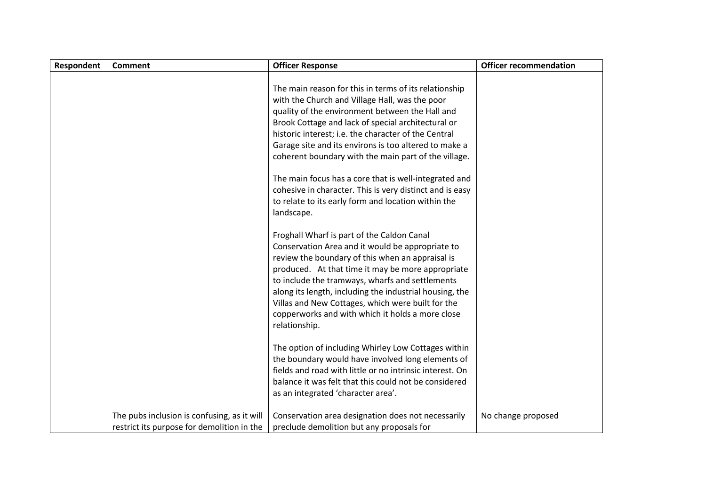| Respondent | <b>Comment</b>                                                                            | <b>Officer Response</b>                                                                                                                                                                                                                                                                                                                                                                                                                         | <b>Officer recommendation</b> |
|------------|-------------------------------------------------------------------------------------------|-------------------------------------------------------------------------------------------------------------------------------------------------------------------------------------------------------------------------------------------------------------------------------------------------------------------------------------------------------------------------------------------------------------------------------------------------|-------------------------------|
|            |                                                                                           | The main reason for this in terms of its relationship<br>with the Church and Village Hall, was the poor<br>quality of the environment between the Hall and<br>Brook Cottage and lack of special architectural or<br>historic interest; i.e. the character of the Central<br>Garage site and its environs is too altered to make a<br>coherent boundary with the main part of the village.                                                       |                               |
|            |                                                                                           | The main focus has a core that is well-integrated and<br>cohesive in character. This is very distinct and is easy<br>to relate to its early form and location within the<br>landscape.                                                                                                                                                                                                                                                          |                               |
|            |                                                                                           | Froghall Wharf is part of the Caldon Canal<br>Conservation Area and it would be appropriate to<br>review the boundary of this when an appraisal is<br>produced. At that time it may be more appropriate<br>to include the tramways, wharfs and settlements<br>along its length, including the industrial housing, the<br>Villas and New Cottages, which were built for the<br>copperworks and with which it holds a more close<br>relationship. |                               |
|            |                                                                                           | The option of including Whirley Low Cottages within<br>the boundary would have involved long elements of<br>fields and road with little or no intrinsic interest. On<br>balance it was felt that this could not be considered<br>as an integrated 'character area'.                                                                                                                                                                             |                               |
|            | The pubs inclusion is confusing, as it will<br>restrict its purpose for demolition in the | Conservation area designation does not necessarily<br>preclude demolition but any proposals for                                                                                                                                                                                                                                                                                                                                                 | No change proposed            |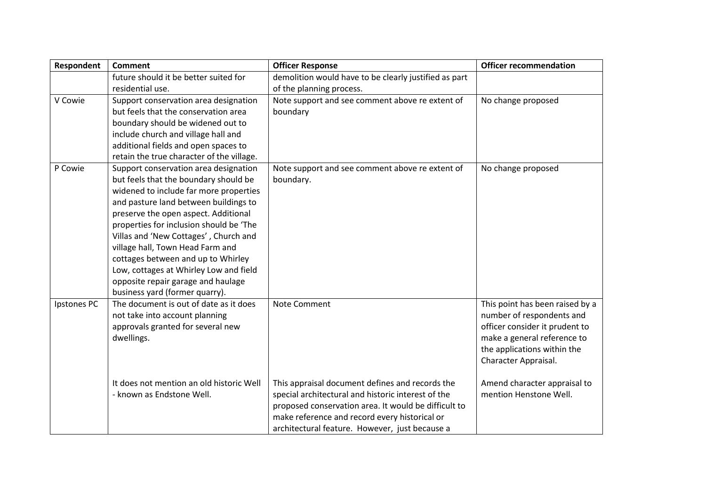| Respondent  | <b>Comment</b>                                                        | <b>Officer Response</b>                               | <b>Officer recommendation</b>                          |
|-------------|-----------------------------------------------------------------------|-------------------------------------------------------|--------------------------------------------------------|
|             | future should it be better suited for                                 | demolition would have to be clearly justified as part |                                                        |
|             | residential use.                                                      | of the planning process.                              |                                                        |
| V Cowie     | Support conservation area designation                                 | Note support and see comment above re extent of       | No change proposed                                     |
|             | but feels that the conservation area                                  | boundary                                              |                                                        |
|             | boundary should be widened out to                                     |                                                       |                                                        |
|             | include church and village hall and                                   |                                                       |                                                        |
|             | additional fields and open spaces to                                  |                                                       |                                                        |
|             | retain the true character of the village.                             |                                                       |                                                        |
| P Cowie     | Support conservation area designation                                 | Note support and see comment above re extent of       | No change proposed                                     |
|             | but feels that the boundary should be                                 | boundary.                                             |                                                        |
|             | widened to include far more properties                                |                                                       |                                                        |
|             | and pasture land between buildings to                                 |                                                       |                                                        |
|             | preserve the open aspect. Additional                                  |                                                       |                                                        |
|             | properties for inclusion should be 'The                               |                                                       |                                                        |
|             | Villas and 'New Cottages', Church and                                 |                                                       |                                                        |
|             | village hall, Town Head Farm and                                      |                                                       |                                                        |
|             | cottages between and up to Whirley                                    |                                                       |                                                        |
|             | Low, cottages at Whirley Low and field                                |                                                       |                                                        |
|             | opposite repair garage and haulage                                    |                                                       |                                                        |
|             | business yard (former quarry).                                        |                                                       |                                                        |
| Ipstones PC | The document is out of date as it does                                | Note Comment                                          | This point has been raised by a                        |
|             | not take into account planning                                        |                                                       | number of respondents and                              |
|             | approvals granted for several new                                     |                                                       | officer consider it prudent to                         |
|             | dwellings.                                                            |                                                       | make a general reference to                            |
|             |                                                                       |                                                       | the applications within the                            |
|             |                                                                       |                                                       | Character Appraisal.                                   |
|             |                                                                       |                                                       |                                                        |
|             | It does not mention an old historic Well<br>- known as Endstone Well. | This appraisal document defines and records the       | Amend character appraisal to<br>mention Henstone Well. |
|             |                                                                       | special architectural and historic interest of the    |                                                        |
|             |                                                                       | proposed conservation area. It would be difficult to  |                                                        |
|             |                                                                       | make reference and record every historical or         |                                                        |
|             |                                                                       | architectural feature. However, just because a        |                                                        |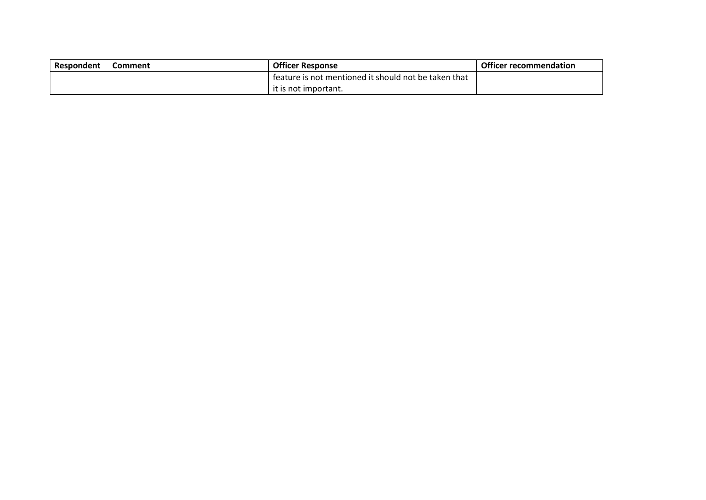| Respondent | Comment | <b>Officer Response</b>                              | <b>Officer recommendation</b> |
|------------|---------|------------------------------------------------------|-------------------------------|
|            |         | feature is not mentioned it should not be taken that |                               |
|            |         | it is not important.                                 |                               |